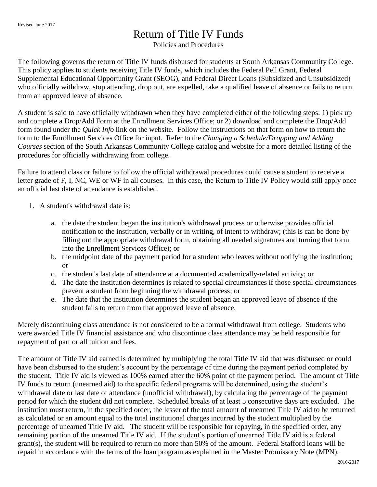## Return of Title IV Funds

Policies and Procedures

The following governs the return of Title IV funds disbursed for students at South Arkansas Community College. This policy applies to students receiving Title IV funds, which includes the Federal Pell Grant, Federal Supplemental Educational Opportunity Grant (SEOG), and Federal Direct Loans (Subsidized and Unsubsidized) who officially withdraw, stop attending, drop out, are expelled, take a qualified leave of absence or fails to return from an approved leave of absence.

A student is said to have officially withdrawn when they have completed either of the following steps: 1) pick up and complete a Drop/Add Form at the Enrollment Services Office; or 2) download and complete the Drop/Add form found under the *Quick Info* link on the website. Follow the instructions on that form on how to return the form to the Enrollment Services Office for input. Refer to the *Changing a Schedule/Dropping and Adding Courses* section of the South Arkansas Community College catalog and website for a more detailed listing of the procedures for officially withdrawing from college.

Failure to attend class or failure to follow the official withdrawal procedures could cause a student to receive a letter grade of F, I, NC, WE or WF in all courses. In this case, the Return to Title IV Policy would still apply once an official last date of attendance is established.

- 1. A student's withdrawal date is:
	- a. the date the student began the institution's withdrawal process or otherwise provides official notification to the institution, verbally or in writing, of intent to withdraw; (this is can be done by filling out the appropriate withdrawal form, obtaining all needed signatures and turning that form into the Enrollment Services Office); or
	- b. the midpoint date of the payment period for a student who leaves without notifying the institution; or
	- c. the student's last date of attendance at a documented academically-related activity; or
	- d. The date the institution determines is related to special circumstances if those special circumstances prevent a student from beginning the withdrawal process; or
	- e. The date that the institution determines the student began an approved leave of absence if the student fails to return from that approved leave of absence.

Merely discontinuing class attendance is not considered to be a formal withdrawal from college. Students who were awarded Title IV financial assistance and who discontinue class attendance may be held responsible for repayment of part or all tuition and fees.

The amount of Title IV aid earned is determined by multiplying the total Title IV aid that was disbursed or could have been disbursed to the student's account by the percentage of time during the payment period completed by the student. Title IV aid is viewed as 100% earned after the 60% point of the payment period. The amount of Title IV funds to return (unearned aid) to the specific federal programs will be determined, using the student's withdrawal date or last date of attendance (unofficial withdrawal), by calculating the percentage of the payment period for which the student did not complete. Scheduled breaks of at least 5 consecutive days are excluded. The institution must return, in the specified order, the lesser of the total amount of unearned Title IV aid to be returned as calculated or an amount equal to the total institutional charges incurred by the student multiplied by the percentage of unearned Title IV aid. The student will be responsible for repaying, in the specified order, any remaining portion of the unearned Title IV aid. If the student's portion of unearned Title IV aid is a federal grant(s), the student will be required to return no more than 50% of the amount. Federal Stafford loans will be repaid in accordance with the terms of the loan program as explained in the Master Promissory Note (MPN).